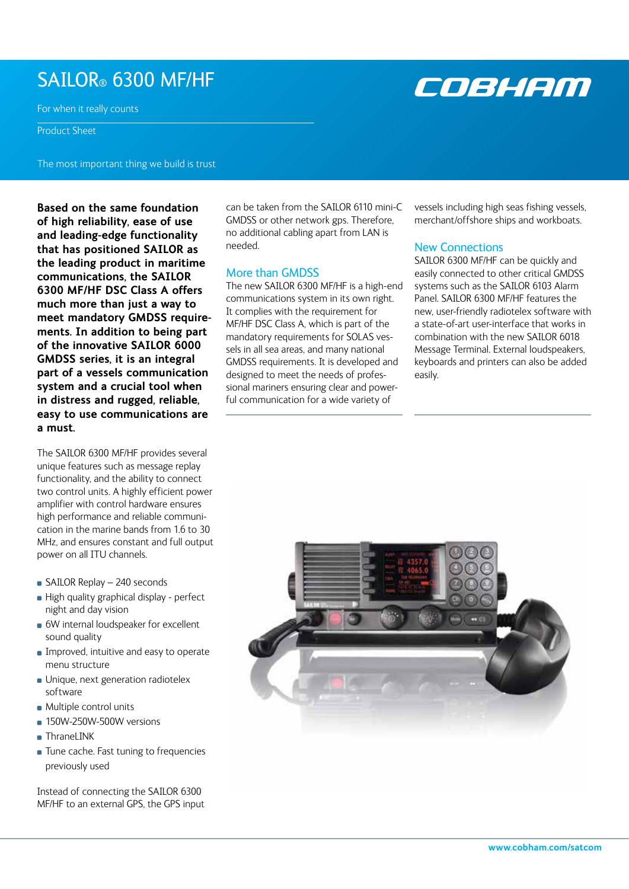# SAILOR® 6300 MF/HF

For when it really counts

Product Sheet

The most important thing we build is trust

**Based on the same foundation of high reliability, ease of use and leading-edge functionality that has positioned SAILOR as the leading product in maritime communications, the SAILOR 6300 MF/HF DSC Class A offers much more than just a way to meet mandatory GMDSS requirements. In addition to being part of the innovative SAILOR 6000 GMDSS series, it is an integral part of a vessels communication system and a crucial tool when in distress and rugged, reliable, easy to use communications are a must.** 

The SAILOR 6300 MF/HF provides several unique features such as message replay functionality, and the ability to connect two control units. A highly efficient power amplifier with control hardware ensures high performance and reliable communication in the marine bands from 1.6 to 30 MHz, and ensures constant and full output power on all ITU channels.

- SAILOR Replay 240 seconds
- High quality graphical display perfect night and day vision
- 6W internal loudspeaker for excellent sound quality
- **Improved, intuitive and easy to operate** menu structure
- **Unique, next generation radiotelex** software
- **Multiple control units**
- 150W-250W-500W versions
- Thranel INK
- **Tune cache. Fast tuning to frequencies** previously used

Instead of connecting the SAILOR 6300 MF/HF to an external GPS, the GPS input can be taken from the SAILOR 6110 mini-C GMDSS or other network gps. Therefore, no additional cabling apart from LAN is needed.

## More than GMDSS

The new SAILOR 6300 MF/HF is a high-end communications system in its own right. It complies with the requirement for MF/HF DSC Class A, which is part of the mandatory requirements for SOLAS vessels in all sea areas, and many national GMDSS requirements. It is developed and designed to meet the needs of professional mariners ensuring clear and powerful communication for a wide variety of

vessels including high seas fishing vessels, merchant/offshore ships and workboats.

### New Connections

SAILOR 6300 MF/HF can be quickly and easily connected to other critical GMDSS systems such as the SAILOR 6103 Alarm Panel. SAILOR 6300 MF/HF features the new, user-friendly radiotelex software with a state-of-art user-interface that works in combination with the new SAILOR 6018 Message Terminal. External loudspeakers, keyboards and printers can also be added easily.



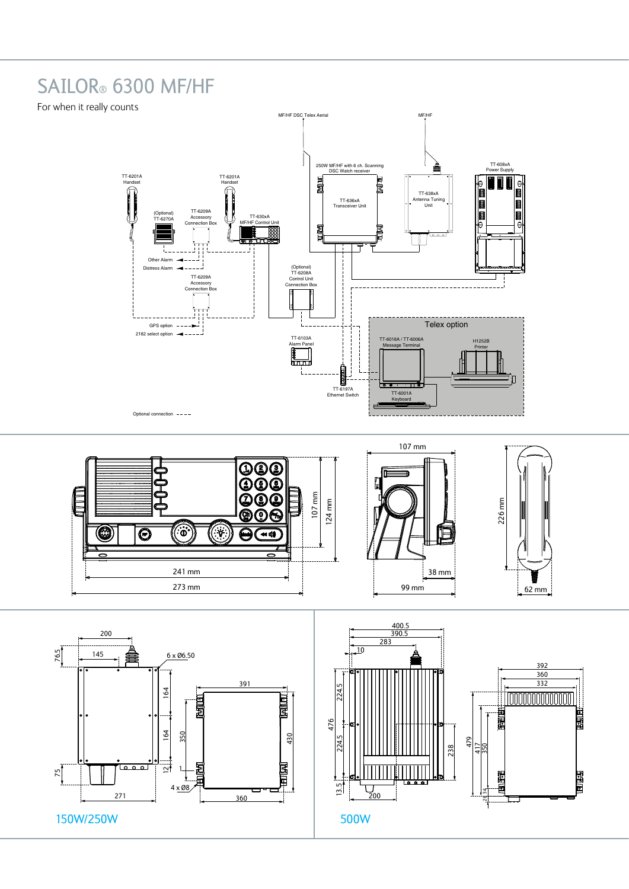# **TRAILOR® 6300 MF/HF**













238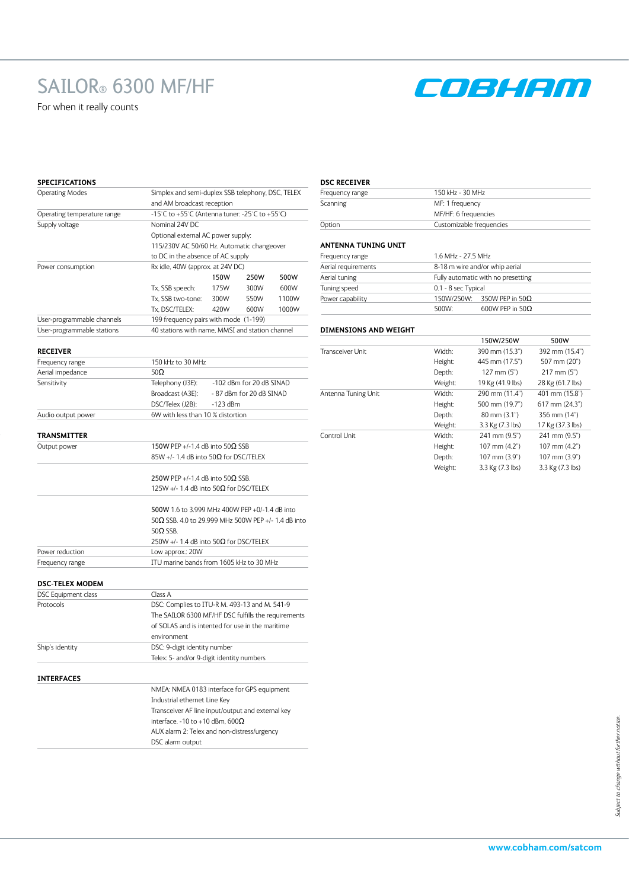# SAILOR® 6300 MF/HF

For when it really counts



### **SPECIFICATIONS**

| <b>Operating Modes</b>           | Simplex and semi-duplex SSB telephony, DSC, TELEX           |                                                                             |                          |       |  |
|----------------------------------|-------------------------------------------------------------|-----------------------------------------------------------------------------|--------------------------|-------|--|
|                                  | and AM broadcast reception                                  |                                                                             |                          |       |  |
| Operating temperature range      |                                                             | -15°C to +55°C (Antenna tuner: -25°C to +55°C)                              |                          |       |  |
| Supply voltage                   | Nominal 24V DC                                              |                                                                             |                          |       |  |
|                                  | Optional external AC power supply:                          |                                                                             |                          |       |  |
|                                  | 115/230V AC 50/60 Hz. Automatic changeover                  |                                                                             |                          |       |  |
|                                  | to DC in the absence of AC supply                           |                                                                             |                          |       |  |
| Power consumption                | Rx idle, 40W (approx. at 24V DC)                            |                                                                             |                          |       |  |
|                                  |                                                             | 150W                                                                        | 250W                     | 500W  |  |
|                                  | Tx, SSB speech:                                             | 175W                                                                        | 300W                     | 600W  |  |
|                                  | Tx, SSB two-tone:                                           | 300W                                                                        | 550W                     | 1100W |  |
|                                  | Tx, DSC/TELEX:                                              | 420W                                                                        | 600W                     | 1000W |  |
| User-programmable channels       | 199 frequency pairs with mode (1-199)                       |                                                                             |                          |       |  |
| User-programmable stations       | 40 stations with name. MMSI and station channel             |                                                                             |                          |       |  |
|                                  |                                                             |                                                                             |                          |       |  |
| <b>RECEIVER</b>                  |                                                             |                                                                             |                          |       |  |
| Frequency range                  | 150 kHz to 30 MHz                                           |                                                                             |                          |       |  |
| Aerial impedance                 | 50 $\Omega$                                                 |                                                                             |                          |       |  |
| Sensitivity                      | Telephony (J3E):                                            |                                                                             | -102 dBm for 20 dB SINAD |       |  |
|                                  | Broadcast (A3E):                                            |                                                                             | - 87 dBm for 20 dB SINAD |       |  |
|                                  | DSC/Telex (J2B):                                            | $-123$ dBm                                                                  |                          |       |  |
| Audio output power               | 6W with less than 10 % distortion                           |                                                                             |                          |       |  |
|                                  |                                                             |                                                                             |                          |       |  |
| <b>TRANSMITTER</b>               |                                                             |                                                                             |                          |       |  |
| Output power                     | 150W PEP +/-1.4 dB into 50 $\Omega$ SSB                     |                                                                             |                          |       |  |
|                                  | 85W +/- 1.4 dB into 50 $\Omega$ for DSC/TELEX               |                                                                             |                          |       |  |
|                                  |                                                             |                                                                             |                          |       |  |
|                                  | 250W PEP +/-1.4 dB into 50 $\Omega$ SSB.                    |                                                                             |                          |       |  |
|                                  | 125W +/- 1.4 dB into 50 $\Omega$ for DSC/TELEX              |                                                                             |                          |       |  |
|                                  |                                                             |                                                                             |                          |       |  |
|                                  | 500W 1.6 to 3.999 MHz 400W PEP +0/-1.4 dB into              |                                                                             |                          |       |  |
|                                  | 50 $\Omega$ SSB. 4.0 to 29.999 MHz 500W PEP +/- 1.4 dB into |                                                                             |                          |       |  |
|                                  | 50 $\Omega$ SSB.                                            |                                                                             |                          |       |  |
|                                  | 250W +/- 1.4 dB into 50 $\Omega$ for DSC/TELEX              |                                                                             |                          |       |  |
| Power reduction                  | Low approx.: 20W                                            |                                                                             |                          |       |  |
| Frequency range                  | ITU marine bands from 1605 kHz to 30 MHz                    |                                                                             |                          |       |  |
|                                  |                                                             |                                                                             |                          |       |  |
| <b>DSC-TELEX MODEM</b>           | Class A                                                     |                                                                             |                          |       |  |
| DSC Equipment class<br>Protocols |                                                             |                                                                             |                          |       |  |
|                                  | DSC: Complies to ITU-R M. 493-13 and M. 541-9               |                                                                             |                          |       |  |
|                                  | The SAILOR 6300 MF/HF DSC fulfills the requirements         |                                                                             |                          |       |  |
|                                  | of SOLAS and is intented for use in the maritime            |                                                                             |                          |       |  |
|                                  | environment                                                 |                                                                             |                          |       |  |
| Ship's identity                  | DSC: 9-digit identity number                                |                                                                             |                          |       |  |
|                                  | Telex: 5- and/or 9-digit identity numbers                   |                                                                             |                          |       |  |
| <b>INTERFACES</b>                |                                                             |                                                                             |                          |       |  |
|                                  |                                                             |                                                                             |                          |       |  |
|                                  |                                                             | NMEA: NMEA 0183 interface for GPS equipment<br>Industrial ethernet Line Key |                          |       |  |
|                                  | Transceiver AF line input/output and external key           |                                                                             |                          |       |  |
|                                  | interface. -10 to +10 dBm, 600 $\Omega$                     |                                                                             |                          |       |  |
|                                  | AUX alarm 2: Telex and non-distress/urgency                 |                                                                             |                          |       |  |
|                                  |                                                             |                                                                             |                          |       |  |
|                                  |                                                             | DSC alarm output                                                            |                          |       |  |

### **DSC RECEIVER**

| Frequency range | 150 kHz - 30 MHz         |  |
|-----------------|--------------------------|--|
| Scanning        | MF: 1 frequency          |  |
|                 | MF/HF: 6 frequencies     |  |
| Option          | Customizable frequencies |  |

### **ANTENNA TUNING UNIT**

| Frequency range     | 1.6 MHz - 27.5 MHz                 |  |  |
|---------------------|------------------------------------|--|--|
| Aerial requirements | 8-18 m wire and/or whip aerial     |  |  |
| Aerial tuning       | Fully automatic with no presetting |  |  |
| Tuning speed        | 0.1 - 8 sec Typical                |  |  |
| Power capability    | 150W/250W: 350W PEP in 50 $\Omega$ |  |  |
|                     | 600W PFP in 50 $\Omega$<br>500W:   |  |  |

### **DIMENSIONS AND WEIGHT**

|                         |         | 150W/250W              | 500W                         |
|-------------------------|---------|------------------------|------------------------------|
| <b>Transceiver Unit</b> | Width:  | 390 mm (15.3")         | 392 mm (15.4")               |
|                         | Height: | 445 mm (17.5")         | 507 mm (20")                 |
|                         | Depth:  | $127$ mm $(5")$        | 217 mm (5")                  |
|                         | Weight: | 19 Kg (41.9 lbs)       | 28 Kg (61.7 lbs)             |
| Antenna Tuning Unit     | Width:  | 290 mm (11.4")         | 401 mm (15.8")               |
|                         | Height: | 500 mm (19.7")         | $617$ mm $(24.3")$           |
|                         | Depth:  | $80 \text{ mm} (3.1")$ | 356 mm (14")                 |
|                         | Weight: | 3.3 Kg (7.3 lbs)       | 17 Kg (37.3 lbs)             |
| Control Unit            | Width:  | 241 mm (9.5")          | 241 mm (9.5")                |
|                         | Height: | 107 mm $(4.2")$        | 107 mm (4.2")                |
|                         | Depth:  | $107$ mm $(3.9")$      | $107 \text{ mm} (3.9^\circ)$ |
|                         | Weight: | 3.3 Kg (7.3 lbs)       | 3.3 Kg (7.3 lbs)             |